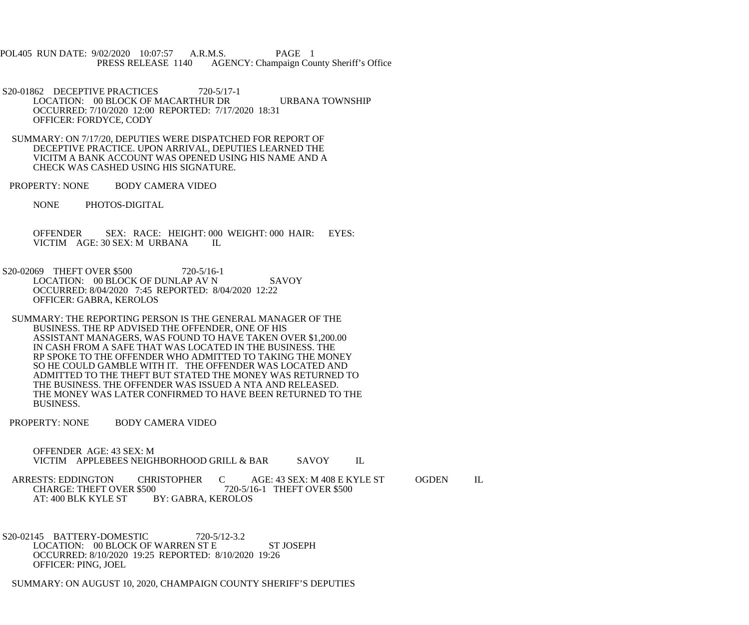POL405 RUN DATE: 9/02/2020 10:07:57 A.R.M.S. PAGE 1<br>PRESS RELEASE 1140 AGENCY: Champaign Cou AGENCY: Champaign County Sheriff's Office

S20-01862 DECEPTIVE PRACTICES 720-5/17-1 LOCATION: 00 BLOCK OF MACARTHUR DR URBANA TOWNSHIP OCCURRED: 7/10/2020 12:00 REPORTED: 7/17/2020 18:31 OFFICER: FORDYCE, CODY

 SUMMARY: ON 7/17/20, DEPUTIES WERE DISPATCHED FOR REPORT OF DECEPTIVE PRACTICE. UPON ARRIVAL, DEPUTIES LEARNED THE VICITM A BANK ACCOUNT WAS OPENED USING HIS NAME AND A CHECK WAS CASHED USING HIS SIGNATURE.

PROPERTY: NONE BODY CAMERA VIDEO

NONE PHOTOS-DIGITAL

 OFFENDER SEX: RACE: HEIGHT: 000 WEIGHT: 000 HAIR: EYES: VICTIM AGE: 30 SEX: M URBANA IL

S20-02069 THEFT OVER \$500 720-5/16-1 LOCATION: 00 BLOCK OF DUNLAP AV N SAVOY OCCURRED: 8/04/2020 7:45 REPORTED: 8/04/2020 12:22 OFFICER: GABRA, KEROLOS

 SUMMARY: THE REPORTING PERSON IS THE GENERAL MANAGER OF THE BUSINESS. THE RP ADVISED THE OFFENDER, ONE OF HIS ASSISTANT MANAGERS, WAS FOUND TO HAVE TAKEN OVER \$1,200.00 IN CASH FROM A SAFE THAT WAS LOCATED IN THE BUSINESS. THE RP SPOKE TO THE OFFENDER WHO ADMITTED TO TAKING THE MONEY SO HE COULD GAMBLE WITH IT. THE OFFENDER WAS LOCATED AND ADMITTED TO THE THEFT BUT STATED THE MONEY WAS RETURNED TO THE BUSINESS. THE OFFENDER WAS ISSUED A NTA AND RELEASED. THE MONEY WAS LATER CONFIRMED TO HAVE BEEN RETURNED TO THE BUSINESS.

PROPERTY: NONE BODY CAMERA VIDEO

 OFFENDER AGE: 43 SEX: M VICTIM APPLEBEES NEIGHBORHOOD GRILL & BAR SAVOY IL

ARRESTS: EDDINGTON CHRISTOPHER C AGE: 43 SEX: M 408 E KYLE ST OGDEN IL<br>CHARGE: THEFT OVER \$500 720-5/16-1 THEFT OVER \$500 CHARGE: THEFT OVER \$500 720-5/16-1 THEFT OVER \$500<br>AT: 400 BLK KYLE ST BY: GABRA, KEROLOS BY: GABRA, KEROLOS

 S20-02145 BATTERY-DOMESTIC 720-5/12-3.2 LOCATION: 00 BLOCK OF WARREN ST E ST JOSEPH OCCURRED: 8/10/2020 19:25 REPORTED: 8/10/2020 19:26 OFFICER: PING, JOEL

SUMMARY: ON AUGUST 10, 2020, CHAMPAIGN COUNTY SHERIFF'S DEPUTIES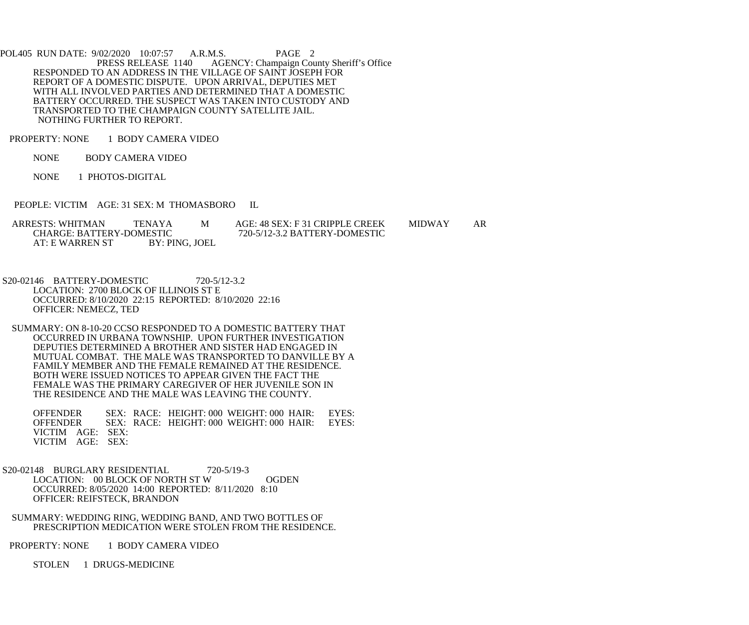POL405 RUN DATE: 9/02/2020 10:07:57 A.R.M.S. PAGE 2<br>PRESS RELEASE 1140 AGENCY: Champaign Cou AGENCY: Champaign County Sheriff's Office RESPONDED TO AN ADDRESS IN THE VILLAGE OF SAINT JOSEPH FOR REPORT OF A DOMESTIC DISPUTE. UPON ARRIVAL, DEPUTIES MET WITH ALL INVOLVED PARTIES AND DETERMINED THAT A DOMESTIC BATTERY OCCURRED. THE SUSPECT WAS TAKEN INTO CUSTODY AND TRANSPORTED TO THE CHAMPAIGN COUNTY SATELLITE JAIL. NOTHING FURTHER TO REPORT.

PROPERTY: NONE 1 BODY CAMERA VIDEO

NONE BODY CAMERA VIDEO

NONE 1 PHOTOS-DIGITAL

PEOPLE: VICTIM AGE: 31 SEX: M THOMASBORO IL

ARRESTS: WHITMAN TENAYA M AGE: 48 SEX: F 31 CRIPPLE CREEK MIDWAY AR<br>CHARGE: BATTERY-DOMESTIC 720-5/12-3.2 BATTERY-DOMESTIC ESTIC 720-5/12-3.2 BATTERY-DOMESTIC<br>BY: PING, JOEL AT: E WARREN ST

 S20-02146 BATTERY-DOMESTIC 720-5/12-3.2 LOCATION: 2700 BLOCK OF ILLINOIS ST E OCCURRED: 8/10/2020 22:15 REPORTED: 8/10/2020 22:16 OFFICER: NEMECZ, TED

 SUMMARY: ON 8-10-20 CCSO RESPONDED TO A DOMESTIC BATTERY THAT OCCURRED IN URBANA TOWNSHIP. UPON FURTHER INVESTIGATION DEPUTIES DETERMINED A BROTHER AND SISTER HAD ENGAGED IN MUTUAL COMBAT. THE MALE WAS TRANSPORTED TO DANVILLE BY A FAMILY MEMBER AND THE FEMALE REMAINED AT THE RESIDENCE. BOTH WERE ISSUED NOTICES TO APPEAR GIVEN THE FACT THE FEMALE WAS THE PRIMARY CAREGIVER OF HER JUVENILE SON IN THE RESIDENCE AND THE MALE WAS LEAVING THE COUNTY.

 OFFENDER SEX: RACE: HEIGHT: 000 WEIGHT: 000 HAIR: EYES: OFFENDER SEX: RACE: HEIGHT: 000 WEIGHT: 000 HAIR: EYES: VICTIM AGE: SEX: VICTIM AGE: SEX:

S20-02148 BURGLARY RESIDENTIAL 720-5/19-3 LOCATION: 00 BLOCK OF NORTH ST W OGDEN OCCURRED: 8/05/2020 14:00 REPORTED: 8/11/2020 8:10 OFFICER: REIFSTECK, BRANDON

 SUMMARY: WEDDING RING, WEDDING BAND, AND TWO BOTTLES OF PRESCRIPTION MEDICATION WERE STOLEN FROM THE RESIDENCE.

PROPERTY: NONE 1 BODY CAMERA VIDEO

STOLEN 1 DRUGS-MEDICINE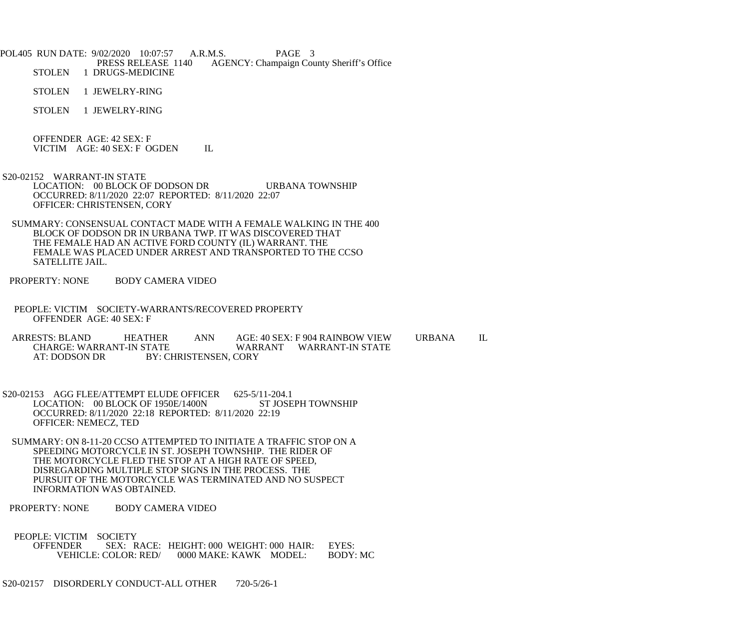POL405 RUN DATE: 9/02/2020 10:07:57 A.R.M.S. PAGE 3<br>PRESS RELEASE 1140 AGENCY: Champaign Cou PRESS RELEASE 1140 AGENCY: Champaign County Sheriff's Office<br>STOLEN 1 DRUGS-MEDICINE 1 DRUGS-MEDICINE

STOLEN 1 JEWELRY-RING

STOLEN 1 JEWELRY-RING

 OFFENDER AGE: 42 SEX: F VICTIM AGE: 40 SEX: F OGDEN IL

 S20-02152 WARRANT-IN STATE LOCATION: 00 BLOCK OF DODSON DR URBANA TOWNSHIP OCCURRED: 8/11/2020 22:07 REPORTED: 8/11/2020 22:07 OFFICER: CHRISTENSEN, CORY

 SUMMARY: CONSENSUAL CONTACT MADE WITH A FEMALE WALKING IN THE 400 BLOCK OF DODSON DR IN URBANA TWP. IT WAS DISCOVERED THAT THE FEMALE HAD AN ACTIVE FORD COUNTY (IL) WARRANT. THE FEMALE WAS PLACED UNDER ARREST AND TRANSPORTED TO THE CCSO SATELLITE JAIL.

PROPERTY: NONE BODY CAMERA VIDEO

 PEOPLE: VICTIM SOCIETY-WARRANTS/RECOVERED PROPERTY OFFENDER AGE: 40 SEX: F

 ARRESTS: BLAND HEATHER ANN AGE: 40 SEX: F 904 RAINBOW VIEW URBANA IL CHARGE: WARRANT-IN STATE WARRANT WARRANT-IN STATE<br>AT: DODSON DR BY: CHRISTENSEN, CORY BY: CHRISTENSEN, CORY

S20-02153 AGG FLEE/ATTEMPT ELUDE OFFICER 625-5/11-204.1<br>LOCATION: 00 BLOCK OF 1950E/1400N ST JOSEPH TOWNSHIP LOCATION: 00 BLOCK OF 1950E/1400N OCCURRED: 8/11/2020 22:18 REPORTED: 8/11/2020 22:19 OFFICER: NEMECZ, TED

 SUMMARY: ON 8-11-20 CCSO ATTEMPTED TO INITIATE A TRAFFIC STOP ON A SPEEDING MOTORCYCLE IN ST. JOSEPH TOWNSHIP. THE RIDER OF THE MOTORCYCLE FLED THE STOP AT A HIGH RATE OF SPEED, DISREGARDING MULTIPLE STOP SIGNS IN THE PROCESS. THE PURSUIT OF THE MOTORCYCLE WAS TERMINATED AND NO SUSPECT INFORMATION WAS OBTAINED.

PROPERTY: NONE BODY CAMERA VIDEO

PEOPLE: VICTIM SOCIETY<br>OFFENDER SEX: R OFFENDER SEX: RACE: HEIGHT: 000 WEIGHT: 000 HAIR: EYES: 0000 MAKE: KAWK MODEL:

S20-02157 DISORDERLY CONDUCT-ALL OTHER 720-5/26-1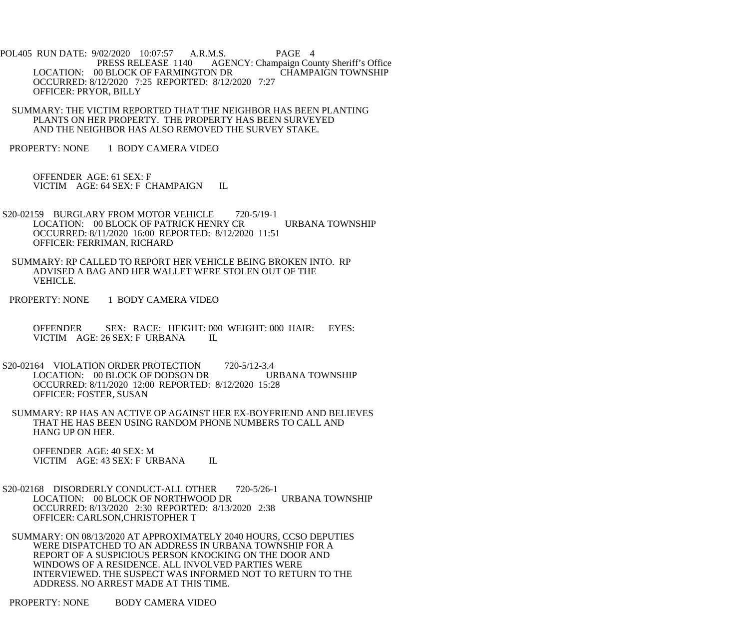- POL405 RUN DATE: 9/02/2020 10:07:57 A.R.M.S. PAGE 4 PRESS RELEASE 1140 AGENCY: Champaign County Sheriff's Office LOCATION: 00 BLOCK OF FARMINGTON DR CHAMPAIGN TOWNSHIP OCCURRED: 8/12/2020 7:25 REPORTED: 8/12/2020 7:27 OFFICER: PRYOR, BILLY
- SUMMARY: THE VICTIM REPORTED THAT THE NEIGHBOR HAS BEEN PLANTING PLANTS ON HER PROPERTY. THE PROPERTY HAS BEEN SURVEYED AND THE NEIGHBOR HAS ALSO REMOVED THE SURVEY STAKE.
- PROPERTY: NONE 1 BODY CAMERA VIDEO

 OFFENDER AGE: 61 SEX: F VICTIM AGE: 64 SEX: F CHAMPAIGN IL

- S20-02159 BURGLARY FROM MOTOR VEHICLE 720-5/19-1 LOCATION: 00 BLOCK OF PATRICK HENRY CR URBANA TOWNSHIP OCCURRED: 8/11/2020 16:00 REPORTED: 8/12/2020 11:51 OFFICER: FERRIMAN, RICHARD
- SUMMARY: RP CALLED TO REPORT HER VEHICLE BEING BROKEN INTO. RP ADVISED A BAG AND HER WALLET WERE STOLEN OUT OF THE VEHICLE.
- PROPERTY: NONE 1 BODY CAMERA VIDEO
	- OFFENDER SEX: RACE: HEIGHT: 000 WEIGHT: 000 HAIR: EYES:<br>VICTIM AGE: 26 SEX: F URBANA IL VICTIM AGE: 26 SEX: F URBANA
- S20-02164 VIOLATION ORDER PROTECTION 720-5/12-3.4 LOCATION: 00 BLOCK OF DODSON DR URBANA TOWNSHIP OCCURRED: 8/11/2020 12:00 REPORTED: 8/12/2020 15:28 OFFICER: FOSTER, SUSAN
- SUMMARY: RP HAS AN ACTIVE OP AGAINST HER EX-BOYFRIEND AND BELIEVES THAT HE HAS BEEN USING RANDOM PHONE NUMBERS TO CALL AND HANG UP ON HER.

 OFFENDER AGE: 40 SEX: M VICTIM AGE: 43 SEX: F URBANA IL

- S20-02168 DISORDERLY CONDUCT-ALL OTHER 720-5/26-1 LOCATION: 00 BLOCK OF NORTHWOOD DR URBANA TOWNSHIP OCCURRED: 8/13/2020 2:30 REPORTED: 8/13/2020 2:38 OFFICER: CARLSON,CHRISTOPHER T
- SUMMARY: ON 08/13/2020 AT APPROXIMATELY 2040 HOURS, CCSO DEPUTIES WERE DISPATCHED TO AN ADDRESS IN URBANA TOWNSHIP FOR A REPORT OF A SUSPICIOUS PERSON KNOCKING ON THE DOOR AND WINDOWS OF A RESIDENCE. ALL INVOLVED PARTIES WERE INTERVIEWED. THE SUSPECT WAS INFORMED NOT TO RETURN TO THE ADDRESS. NO ARREST MADE AT THIS TIME.
- PROPERTY: NONE BODY CAMERA VIDEO